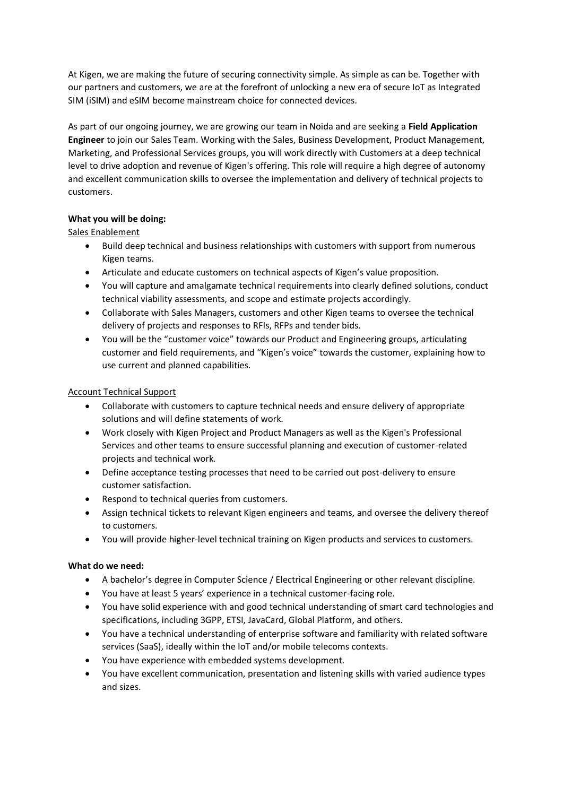At Kigen, we are making the future of securing connectivity simple. As simple as can be. Together with our partners and customers, we are at the forefront of unlocking a new era of secure IoT as Integrated SIM (iSIM) and eSIM become mainstream choice for connected devices.

As part of our ongoing journey, we are growing our team in Noida and are seeking a **Field Application Engineer** to join our Sales Team. Working with the Sales, Business Development, Product Management, Marketing, and Professional Services groups, you will work directly with Customers at a deep technical level to drive adoption and revenue of Kigen's offering. This role will require a high degree of autonomy and excellent communication skills to oversee the implementation and delivery of technical projects to customers.

## **What you will be doing:**

# Sales Enablement

- Build deep technical and business relationships with customers with support from numerous Kigen teams.
- Articulate and educate customers on technical aspects of Kigen's value proposition.
- You will capture and amalgamate technical requirements into clearly defined solutions, conduct technical viability assessments, and scope and estimate projects accordingly.
- Collaborate with Sales Managers, customers and other Kigen teams to oversee the technical delivery of projects and responses to RFIs, RFPs and tender bids.
- You will be the "customer voice" towards our Product and Engineering groups, articulating customer and field requirements, and "Kigen's voice" towards the customer, explaining how to use current and planned capabilities.

# Account Technical Support

- Collaborate with customers to capture technical needs and ensure delivery of appropriate solutions and will define statements of work.
- Work closely with Kigen Project and Product Managers as well as the Kigen's Professional Services and other teams to ensure successful planning and execution of customer-related projects and technical work.
- Define acceptance testing processes that need to be carried out post-delivery to ensure customer satisfaction.
- Respond to technical queries from customers.
- Assign technical tickets to relevant Kigen engineers and teams, and oversee the delivery thereof to customers.
- You will provide higher-level technical training on Kigen products and services to customers.

## **What do we need:**

- A bachelor's degree in Computer Science / Electrical Engineering or other relevant discipline.
- You have at least 5 years' experience in a technical customer-facing role.
- You have solid experience with and good technical understanding of smart card technologies and specifications, including 3GPP, ETSI, JavaCard, Global Platform, and others.
- You have a technical understanding of enterprise software and familiarity with related software services (SaaS), ideally within the IoT and/or mobile telecoms contexts.
- You have experience with embedded systems development.
- You have excellent communication, presentation and listening skills with varied audience types and sizes.